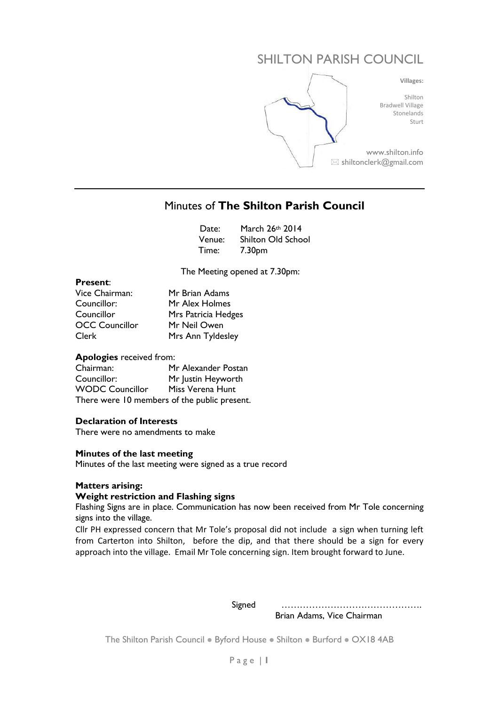# SHILTON PARISH COUNCIL



# Minutes of **The Shilton Parish Council**

|  | Date: March 26th 2014     |
|--|---------------------------|
|  | Venue: Shilton Old School |
|  | Time: 7.30pm              |

The Meeting opened at 7.30pm:

#### **Present**:

| Vice Chairman:        | Mr Brian Adams      |
|-----------------------|---------------------|
| Councillor:           | Mr Alex Holmes      |
| Councillor            | Mrs Patricia Hedges |
| <b>OCC Councillor</b> | Mr Neil Owen        |
| Clerk                 | Mrs Ann Tyldesley   |

#### **Apologies** received from:

Chairman: Mr Alexander Postan Councillor: Mr Justin Heyworth WODC Councillor Miss Verena Hunt There were 10 members of the public present.

#### **Declaration of Interests**

There were no amendments to make

#### **Minutes of the last meeting**

Minutes of the last meeting were signed as a true record

#### **Matters arising:**

#### **Weight restriction and Flashing signs**

Flashing Signs are in place. Communication has now been received from Mr Tole concerning signs into the village.

Cllr PH expressed concern that Mr Tole's proposal did not include a sign when turning left from Carterton into Shilton, before the dip, and that there should be a sign for every approach into the village. Email Mr Tole concerning sign. Item brought forward to June.

 Signed ………………………………………. Brian Adams, Vice Chairman

The Shilton Parish Council . Byford House . Shilton . Burford . OX18 4AB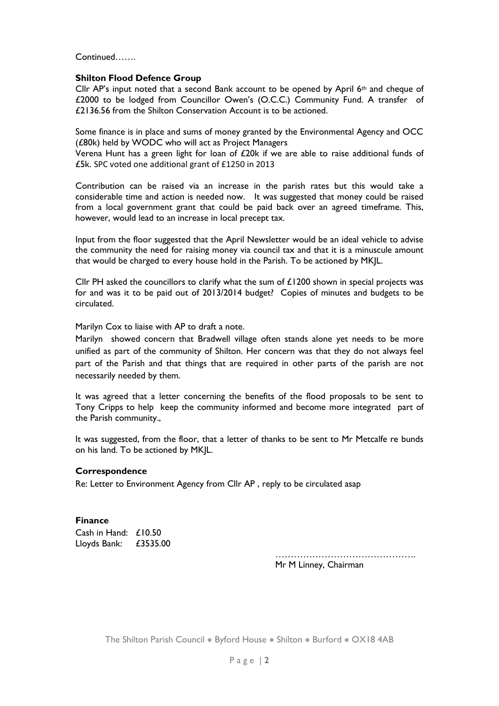Continued…….

#### **Shilton Flood Defence Group**

Cllr AP's input noted that a second Bank account to be opened by April  $6<sup>th</sup>$  and cheque of £2000 to be lodged from Councillor Owen's (O.C.C.) Community Fund. A transfer of £2136.56 from the Shilton Conservation Account is to be actioned.

Some finance is in place and sums of money granted by the Environmental Agency and OCC (£80k) held by WODC who will act as Project Managers

Verena Hunt has a green light for loan of £20k if we are able to raise additional funds of £5k. SPC voted one additional grant of £1250 in 2013

Contribution can be raised via an increase in the parish rates but this would take a considerable time and action is needed now. It was suggested that money could be raised from a local government grant that could be paid back over an agreed timeframe. This, however, would lead to an increase in local precept tax.

Input from the floor suggested that the April Newsletter would be an ideal vehicle to advise the community the need for raising money via council tax and that it is a minuscule amount that would be charged to every house hold in the Parish. To be actioned by MKJL.

Cllr PH asked the councillors to clarify what the sum of £1200 shown in special projects was for and was it to be paid out of 2013/2014 budget? Copies of minutes and budgets to be circulated.

Marilyn Cox to liaise with AP to draft a note.

Marilyn showed concern that Bradwell village often stands alone yet needs to be more unified as part of the community of Shilton. Her concern was that they do not always feel part of the Parish and that things that are required in other parts of the parish are not necessarily needed by them.

It was agreed that a letter concerning the benefits of the flood proposals to be sent to Tony Cripps to help keep the community informed and become more integrated part of the Parish community.,

It was suggested, from the floor, that a letter of thanks to be sent to Mr Metcalfe re bunds on his land. To be actioned by MKJL.

#### **Correspondence**

Re: Letter to Environment Agency from Cllr AP , reply to be circulated asap

#### **Finance**

Cash in Hand: £10.50 Lloyds Bank: £3535.00

…………………………………………………………

Mr M Linney, Chairman

The Shilton Parish Council . Byford House . Shilton . Burford . OX18 4AB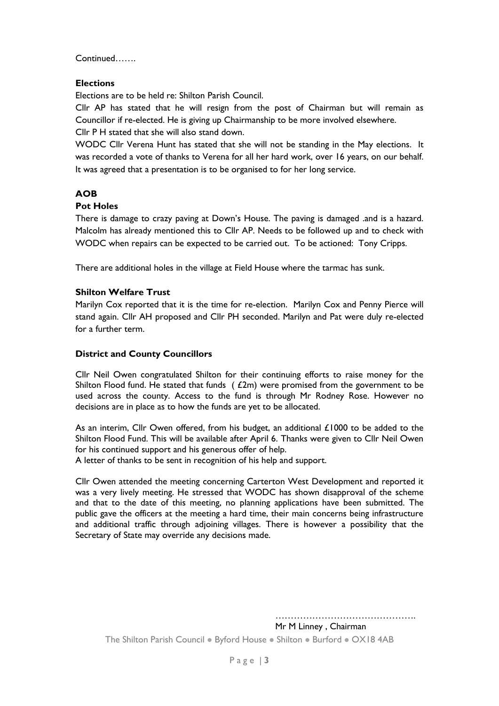Continued…….

# **Elections**

Elections are to be held re: Shilton Parish Council.

Cllr AP has stated that he will resign from the post of Chairman but will remain as Councillor if re-elected. He is giving up Chairmanship to be more involved elsewhere. Cllr P H stated that she will also stand down.

WODC Cllr Verena Hunt has stated that she will not be standing in the May elections. It was recorded a vote of thanks to Verena for all her hard work, over 16 years, on our behalf. It was agreed that a presentation is to be organised to for her long service.

# **AOB**

# **Pot Holes**

There is damage to crazy paving at Down's House. The paving is damaged .and is a hazard. Malcolm has already mentioned this to Cllr AP. Needs to be followed up and to check with WODC when repairs can be expected to be carried out. To be actioned: Tony Cripps.

There are additional holes in the village at Field House where the tarmac has sunk.

# **Shilton Welfare Trust**

Marilyn Cox reported that it is the time for re-election. Marilyn Cox and Penny Pierce will stand again. Cllr AH proposed and Cllr PH seconded. Marilyn and Pat were duly re-elected for a further term.

# **District and County Councillors**

Cllr Neil Owen congratulated Shilton for their continuing efforts to raise money for the Shilton Flood fund. He stated that funds  $( f2m)$  were promised from the government to be used across the county. Access to the fund is through Mr Rodney Rose. However no decisions are in place as to how the funds are yet to be allocated.

As an interim, Cllr Owen offered, from his budget, an additional £1000 to be added to the Shilton Flood Fund. This will be available after April 6. Thanks were given to Cllr Neil Owen for his continued support and his generous offer of help.

A letter of thanks to be sent in recognition of his help and support.

Cllr Owen attended the meeting concerning Carterton West Development and reported it was a very lively meeting. He stressed that WODC has shown disapproval of the scheme and that to the date of this meeting, no planning applications have been submitted. The public gave the officers at the meeting a hard time, their main concerns being infrastructure and additional traffic through adjoining villages. There is however a possibility that the Secretary of State may override any decisions made.